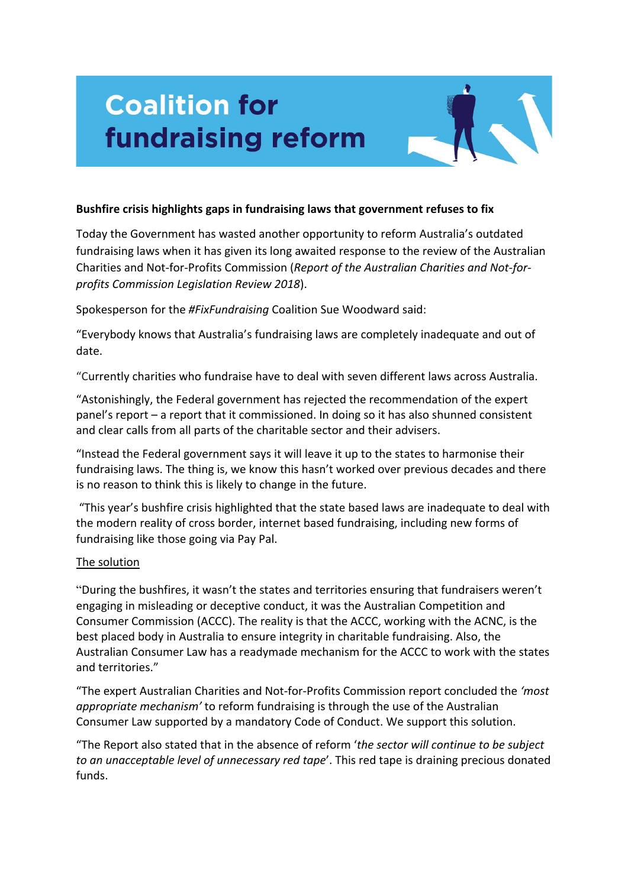# **Coalition for fundraising reform**



Today the Government has wasted another opportunity to reform Australia's outdated fundraising laws when it has given its long awaited response to the review of the Australian Charities and Not-for-Profits Commission (Report of the Australian Charities and Not-for*profits Commission Legislation Review 2018*).

Spokesperson for the **#FixFundraising** Coalition Sue Woodward said:

"Everybody knows that Australia's fundraising laws are completely inadequate and out of date. 

"Currently charities who fundraise have to deal with seven different laws across Australia.

"Astonishingly, the Federal government has rejected the recommendation of the expert panel's report – a report that it commissioned. In doing so it has also shunned consistent and clear calls from all parts of the charitable sector and their advisers.

"Instead the Federal government says it will leave it up to the states to harmonise their fundraising laws. The thing is, we know this hasn't worked over previous decades and there is no reason to think this is likely to change in the future.

"This year's bushfire crisis highlighted that the state based laws are inadequate to deal with the modern reality of cross border, internet based fundraising, including new forms of fundraising like those going via Pay Pal.

### The solution

"During the bushfires, it wasn't the states and territories ensuring that fundraisers weren't engaging in misleading or deceptive conduct, it was the Australian Competition and Consumer Commission (ACCC). The reality is that the ACCC, working with the ACNC, is the best placed body in Australia to ensure integrity in charitable fundraising. Also, the Australian Consumer Law has a readymade mechanism for the ACCC to work with the states and territories."

"The expert Australian Charities and Not-for-Profits Commission report concluded the *'most* appropriate mechanism' to reform fundraising is through the use of the Australian Consumer Law supported by a mandatory Code of Conduct. We support this solution.

"The Report also stated that in the absence of reform 'the sector will continue to be subject *to an unacceptable level of unnecessary red tape'*. This red tape is draining precious donated funds.